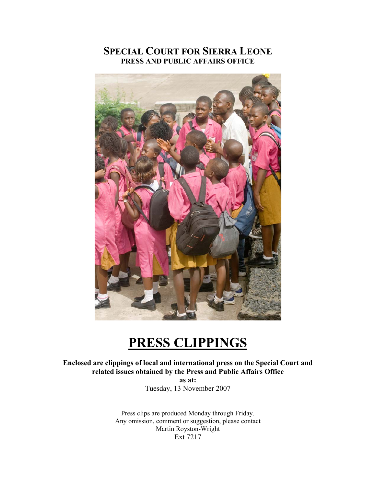## **SPECIAL COURT FOR SIERRA LEONE PRESS AND PUBLIC AFFAIRS OFFICE**



## **PRESS CLIPPINGS**

**Enclosed are clippings of local and international press on the Special Court and related issues obtained by the Press and Public Affairs Office** 

> **as at:**  Tuesday, 13 November 2007

Press clips are produced Monday through Friday. Any omission, comment or suggestion, please contact Martin Royston-Wright Ext 7217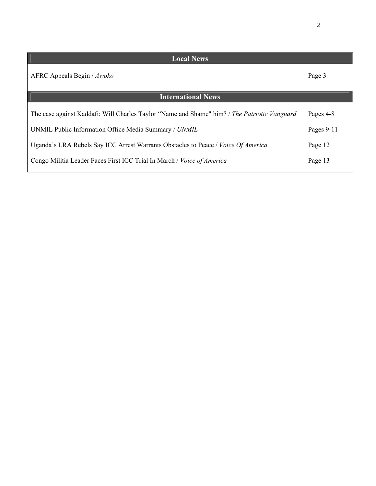| <b>Local News</b>                                                                            |            |
|----------------------------------------------------------------------------------------------|------------|
| AFRC Appeals Begin / Awoko                                                                   | Page 3     |
| <b>International News</b>                                                                    |            |
| The case against Kaddafi: Will Charles Taylor "Name and Shame" him? / The Patriotic Vanguard | Pages 4-8  |
| UNMIL Public Information Office Media Summary / UNMIL                                        | Pages 9-11 |
| Uganda's LRA Rebels Say ICC Arrest Warrants Obstacles to Peace / Voice Of America            | Page 12    |
| Congo Militia Leader Faces First ICC Trial In March / Voice of America                       | Page 13    |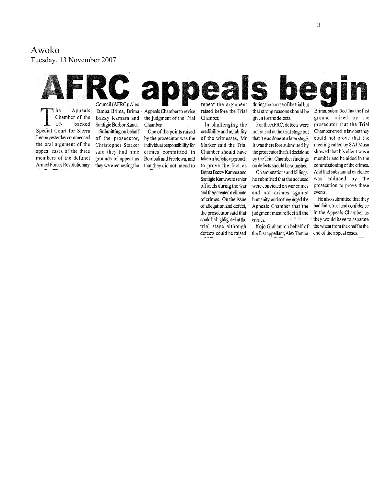## Awoko

Tuesday, 13 Nove mber 2007

#### 20 a Council (AFRC): Alex repeat the argument during the course of the trial but

I he Appeals Chamber of the UN backed Special Court for Sierra Leone yesterday commenced the oral argument of the appeal cases of the three members of the defunct Armed Forces Revolutionary

Bazzy Kamara and Santigie Borbor Kanu. Submitting on behalf of the prosecutor, Christopher Starker said they had nine grounds of appeal as they were requesting the

Tamba Brima, Brima · Appeals Chamber to revise the judgment of the Trial Chamber.

> One of the points raised by the prosecutor was the individual responsibility for crimes committed in Bombali and Freetown, and that they did not intend to

raised before the Trial Chamber.

In challenging the credibility and reliability of the witnesses, Mr Starker said the Trial Chamber should have taken a holistic approach to prove the fact as Brima Bazzy Kamara and Santigie Kanu were senior officials during the war and they created a climate of crimes. On the issue of allegation and defect, the prosecutor said that could be highlighted at the trial stage although defects could be raised

that strong reasons should be given for the defects.

For the AFRC, defects were not raised at the trial stage but that it was done at a later stage. It was therefore submitted by the prosecutor that all decisions by the Trial Chamber findings on defects should be squashed.

On amputations and killings, he submitted that the accused were convicted on war crimes and not crimes against humanity, and so they urged the Appeals Chamber that the judgment must reflect all the crimes.

Kojo Graham on behalf of the first appellant, Alex Tamba

Brima, submitted that the first ground raised by the prosecutor that the Trial Chamber erred in law but they could not prove that the meeting called by SAJ Musa showed that his client was a member and he aided in the commissioning of the crimes. And that substantial evidence was adduced by the prosecution to prove these events.

He also submitted that they had faith, trust and confidence in the Appeals Chamber as they would have to separate the wheat from the chaff at the end of the appeal cases.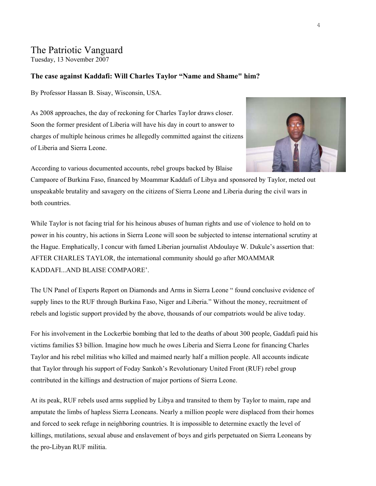## The Patriotic Vanguard

Tuesday, 13 November 2007

#### **The case against Kaddafi: Will Charles Taylor "Name and Shame" him?**

By Professor Hassan B. Sisay, Wisconsin, USA.

As 2008 approaches, the day of reckoning for Charles Taylor draws closer. Soon the former president of Liberia will have his day in court to answer to charges of multiple heinous crimes he allegedly committed against the citizens of Liberia and Sierra Leone.



According to various documented accounts, rebel groups backed by Blaise

Campaore of Burkina Faso, financed by Moammar Kaddafi of Libya and sponsored by Taylor, meted out unspeakable brutality and savagery on the citizens of Sierra Leone and Liberia during the civil wars in both countries.

While Taylor is not facing trial for his heinous abuses of human rights and use of violence to hold on to power in his country, his actions in Sierra Leone will soon be subjected to intense international scrutiny at the Hague. Emphatically, I concur with famed Liberian journalist Abdoulaye W. Dukule's assertion that: AFTER CHARLES TAYLOR, the international community should go after MOAMMAR KADDAFI...AND BLAISE COMPAORE'.

The UN Panel of Experts Report on Diamonds and Arms in Sierra Leone " found conclusive evidence of supply lines to the RUF through Burkina Faso, Niger and Liberia." Without the money, recruitment of rebels and logistic support provided by the above, thousands of our compatriots would be alive today.

For his involvement in the Lockerbie bombing that led to the deaths of about 300 people, Gaddafi paid his victims families \$3 billion. Imagine how much he owes Liberia and Sierra Leone for financing Charles Taylor and his rebel militias who killed and maimed nearly half a million people. All accounts indicate that Taylor through his support of Foday Sankoh's Revolutionary United Front (RUF) rebel group contributed in the killings and destruction of major portions of Sierra Leone.

At its peak, RUF rebels used arms supplied by Libya and transited to them by Taylor to maim, rape and amputate the limbs of hapless Sierra Leoneans. Nearly a million people were displaced from their homes and forced to seek refuge in neighboring countries. It is impossible to determine exactly the level of killings, mutilations, sexual abuse and enslavement of boys and girls perpetuated on Sierra Leoneans by the pro-Libyan RUF militia.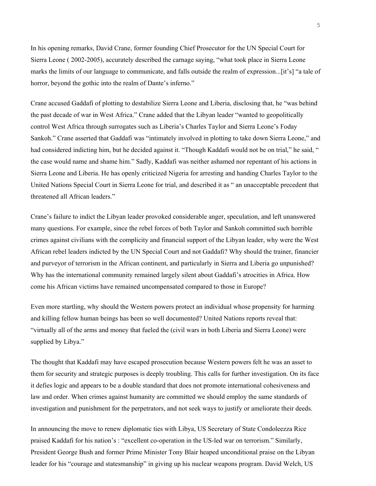In his opening remarks, David Crane, former founding Chief Prosecutor for the UN Special Court for Sierra Leone ( 2002-2005), accurately described the carnage saying, "what took place in Sierra Leone marks the limits of our language to communicate, and falls outside the realm of expression...[it's] "a tale of horror, beyond the gothic into the realm of Dante's inferno."

Crane accused Gaddafi of plotting to destabilize Sierra Leone and Liberia, disclosing that, he "was behind the past decade of war in West Africa." Crane added that the Libyan leader "wanted to geopolitically control West Africa through surrogates such as Liberia's Charles Taylor and Sierra Leone's Foday Sankoh." Crane asserted that Gaddafi was "intimately involved in plotting to take down Sierra Leone," and had considered indicting him, but he decided against it. "Though Kaddafi would not be on trial," he said, " the case would name and shame him." Sadly, Kaddafi was neither ashamed nor repentant of his actions in Sierra Leone and Liberia. He has openly criticized Nigeria for arresting and handing Charles Taylor to the United Nations Special Court in Sierra Leone for trial, and described it as " an unacceptable precedent that threatened all African leaders."

Crane's failure to indict the Libyan leader provoked considerable anger, speculation, and left unanswered many questions. For example, since the rebel forces of both Taylor and Sankoh committed such horrible crimes against civilians with the complicity and financial support of the Libyan leader, why were the West African rebel leaders indicted by the UN Special Court and not Gaddafi? Why should the trainer, financier and purveyor of terrorism in the African continent, and particularly in Sierra and Liberia go unpunished? Why has the international community remained largely silent about Gaddafi's atrocities in Africa. How come his African victims have remained uncompensated compared to those in Europe?

Even more startling, why should the Western powers protect an individual whose propensity for harming and killing fellow human beings has been so well documented? United Nations reports reveal that: "virtually all of the arms and money that fueled the (civil wars in both Liberia and Sierra Leone) were supplied by Libya."

The thought that Kaddafi may have escaped prosecution because Western powers felt he was an asset to them for security and strategic purposes is deeply troubling. This calls for further investigation. On its face it defies logic and appears to be a double standard that does not promote international cohesiveness and law and order. When crimes against humanity are committed we should employ the same standards of investigation and punishment for the perpetrators, and not seek ways to justify or ameliorate their deeds.

In announcing the move to renew diplomatic ties with Libya, US Secretary of State Condoleezza Rice praised Kaddafi for his nation's : "excellent co-operation in the US-led war on terrorism." Similarly, President George Bush and former Prime Minister Tony Blair heaped unconditional praise on the Libyan leader for his "courage and statesmanship" in giving up his nuclear weapons program. David Welch, US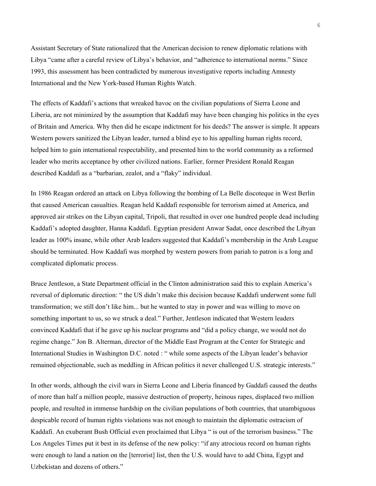Assistant Secretary of State rationalized that the American decision to renew diplomatic relations with Libya "came after a careful review of Libya's behavior, and "adherence to international norms." Since 1993, this assessment has been contradicted by numerous investigative reports including Amnesty International and the New York-based Human Rights Watch.

The effects of Kaddafi's actions that wreaked havoc on the civilian populations of Sierra Leone and Liberia, are not minimized by the assumption that Kaddafi may have been changing his politics in the eyes of Britain and America. Why then did he escape indictment for his deeds? The answer is simple. It appears Western powers sanitized the Libyan leader, turned a blind eye to his appalling human rights record, helped him to gain international respectability, and presented him to the world community as a reformed leader who merits acceptance by other civilized nations. Earlier, former President Ronald Reagan described Kaddafi as a "barbarian, zealot, and a "flaky" individual.

In 1986 Reagan ordered an attack on Libya following the bombing of La Belle discoteque in West Berlin that caused American casualties. Reagan held Kaddafi responsible for terrorism aimed at America, and approved air strikes on the Libyan capital, Tripoli, that resulted in over one hundred people dead including Kaddafi's adopted daughter, Hanna Kaddafi. Egyptian president Anwar Sadat, once described the Libyan leader as 100% insane, while other Arab leaders suggested that Kaddafi's membership in the Arab League should be terminated. How Kaddafi was morphed by western powers from pariah to patron is a long and complicated diplomatic process.

Bruce Jentleson, a State Department official in the Clinton administration said this to explain America's reversal of diplomatic direction: " the US didn't make this decision because Kaddafi underwent some full transformation; we still don't like him... but he wanted to stay in power and was willing to move on something important to us, so we struck a deal." Further, Jentleson indicated that Western leaders convinced Kaddafi that if he gave up his nuclear programs and "did a policy change, we would not do regime change." Jon B. Alterman, director of the Middle East Program at the Center for Strategic and International Studies in Washington D.C. noted : " while some aspects of the Libyan leader's behavior remained objectionable, such as meddling in African politics it never challenged U.S. strategic interests."

In other words, although the civil wars in Sierra Leone and Liberia financed by Gaddafi caused the deaths of more than half a million people, massive destruction of property, heinous rapes, displaced two million people, and resulted in immense hardship on the civilian populations of both countries, that unambiguous despicable record of human rights violations was not enough to maintain the diplomatic ostracism of Kaddafi. An exuberant Bush Official even proclaimed that Libya " is out of the terrorism business." The Los Angeles Times put it best in its defense of the new policy: "if any atrocious record on human rights were enough to land a nation on the [terrorist] list, then the U.S. would have to add China, Egypt and Uzbekistan and dozens of others."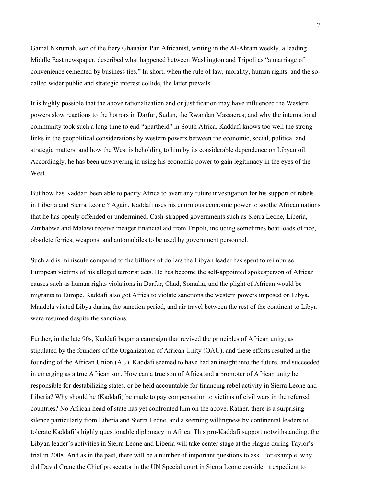Gamal Nkrumah, son of the fiery Ghanaian Pan Africanist, writing in the Al-Ahram weekly, a leading Middle East newspaper, described what happened between Washington and Tripoli as "a marriage of convenience cemented by business ties." In short, when the rule of law, morality, human rights, and the socalled wider public and strategic interest collide, the latter prevails.

It is highly possible that the above rationalization and or justification may have influenced the Western powers slow reactions to the horrors in Darfur, Sudan, the Rwandan Massacres; and why the international community took such a long time to end "apartheid" in South Africa. Kaddafi knows too well the strong links in the geopolitical considerations by western powers between the economic, social, political and strategic matters, and how the West is beholding to him by its considerable dependence on Libyan oil. Accordingly, he has been unwavering in using his economic power to gain legitimacy in the eyes of the West.

But how has Kaddafi been able to pacify Africa to avert any future investigation for his support of rebels in Liberia and Sierra Leone ? Again, Kaddafi uses his enormous economic power to soothe African nations that he has openly offended or undermined. Cash-strapped governments such as Sierra Leone, Liberia, Zimbabwe and Malawi receive meager financial aid from Tripoli, including sometimes boat loads of rice, obsolete ferries, weapons, and automobiles to be used by government personnel.

Such aid is miniscule compared to the billions of dollars the Libyan leader has spent to reimburse European victims of his alleged terrorist acts. He has become the self-appointed spokesperson of African causes such as human rights violations in Darfur, Chad, Somalia, and the plight of African would be migrants to Europe. Kaddafi also got Africa to violate sanctions the western powers imposed on Libya. Mandela visited Libya during the sanction period, and air travel between the rest of the continent to Libya were resumed despite the sanctions.

Further, in the late 90s, Kaddafi began a campaign that revived the principles of African unity, as stipulated by the founders of the Organization of African Unity (OAU), and these efforts resulted in the founding of the African Union (AU). Kaddafi seemed to have had an insight into the future, and succeeded in emerging as a true African son. How can a true son of Africa and a promoter of African unity be responsible for destabilizing states, or be held accountable for financing rebel activity in Sierra Leone and Liberia? Why should he (Kaddafi) be made to pay compensation to victims of civil wars in the referred countries? No African head of state has yet confronted him on the above. Rather, there is a surprising silence particularly from Liberia and Sierra Leone, and a seeming willingness by continental leaders to tolerate Kaddafi's highly questionable diplomacy in Africa. This pro-Kaddafi support notwithstanding, the Libyan leader's activities in Sierra Leone and Liberia will take center stage at the Hague during Taylor's trial in 2008. And as in the past, there will be a number of important questions to ask. For example, why did David Crane the Chief prosecutor in the UN Special court in Sierra Leone consider it expedient to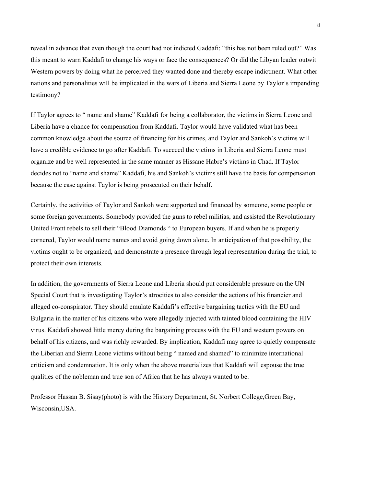reveal in advance that even though the court had not indicted Gaddafi: "this has not been ruled out?" Was this meant to warn Kaddafi to change his ways or face the consequences? Or did the Libyan leader outwit Western powers by doing what he perceived they wanted done and thereby escape indictment. What other nations and personalities will be implicated in the wars of Liberia and Sierra Leone by Taylor's impending testimony?

If Taylor agrees to " name and shame" Kaddafi for being a collaborator, the victims in Sierra Leone and Liberia have a chance for compensation from Kaddafi. Taylor would have validated what has been common knowledge about the source of financing for his crimes, and Taylor and Sankoh's victims will have a credible evidence to go after Kaddafi. To succeed the victims in Liberia and Sierra Leone must organize and be well represented in the same manner as Hissane Habre's victims in Chad. If Taylor decides not to "name and shame" Kaddafi, his and Sankoh's victims still have the basis for compensation because the case against Taylor is being prosecuted on their behalf.

Certainly, the activities of Taylor and Sankoh were supported and financed by someone, some people or some foreign governments. Somebody provided the guns to rebel militias, and assisted the Revolutionary United Front rebels to sell their "Blood Diamonds " to European buyers. If and when he is properly cornered, Taylor would name names and avoid going down alone. In anticipation of that possibility, the victims ought to be organized, and demonstrate a presence through legal representation during the trial, to protect their own interests.

In addition, the governments of Sierra Leone and Liberia should put considerable pressure on the UN Special Court that is investigating Taylor's atrocities to also consider the actions of his financier and alleged co-conspirator. They should emulate Kaddafi's effective bargaining tactics with the EU and Bulgaria in the matter of his citizens who were allegedly injected with tainted blood containing the HIV virus. Kaddafi showed little mercy during the bargaining process with the EU and western powers on behalf of his citizens, and was richly rewarded. By implication, Kaddafi may agree to quietly compensate the Liberian and Sierra Leone victims without being " named and shamed" to minimize international criticism and condemnation. It is only when the above materializes that Kaddafi will espouse the true qualities of the nobleman and true son of Africa that he has always wanted to be.

Professor Hassan B. Sisay(photo) is with the History Department, St. Norbert College,Green Bay, Wisconsin,USA.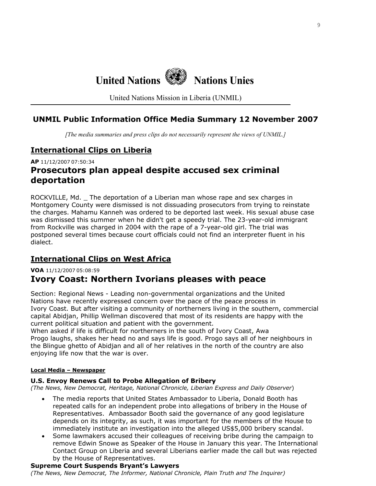# **United Nations Nations Unies**

United Nations Mission in Liberia (UNMIL)

## **UNMIL Public Information Office Media Summary 12 November 2007**

*[The media summaries and press clips do not necessarily represent the views of UNMIL.]*

## **International Clips on Liberia**

**AP** 11/12/2007 07:50:34

## **Prosecutors plan appeal despite accused sex criminal deportation**

ROCKVILLE, Md. \_ The deportation of a Liberian man whose rape and sex charges in Montgomery County were dismissed is not dissuading prosecutors from trying to reinstate the charges. Mahamu Kanneh was ordered to be deported last week. His sexual abuse case was dismissed this summer when he didn't get a speedy trial. The 23-year-old immigrant from Rockville was charged in 2004 with the rape of a 7-year-old girl. The trial was postponed several times because court officials could not find an interpreter fluent in his dialect.

## **International Clips on West Africa**

#### **VOA** 11/12/2007 05:08:59

## **Ivory Coast: Northern Ivorians pleases with peace**

Section: Regional News - Leading non-governmental organizations and the United Nations have recently expressed concern over the pace of the peace process in Ivory Coast. But after visiting a community of northerners living in the southern, commercial capital Abidjan, Phillip Wellman discovered that most of its residents are happy with the current political situation and patient with the government.

When asked if life is difficult for northerners in the south of Ivory Coast, Awa Progo laughs, shakes her head no and says life is good. Progo says all of her neighbours in the Blingue ghetto of Abidjan and all of her relatives in the north of the country are also enjoying life now that the war is over.

#### **Local Media – Newspaper**

#### **U.S. Envoy Renews Call to Probe Allegation of Bribery**

*(The News, New Democrat, Heritage, National Chronicle, Liberian Express and Daily Observer*)

- The media reports that United States Ambassador to Liberia, Donald Booth has repeated calls for an independent probe into allegations of bribery in the House of Representatives. Ambassador Booth said the governance of any good legislature depends on its integrity, as such, it was important for the members of the House to immediately institute an investigation into the alleged US\$5,000 bribery scandal.
- Some lawmakers accused their colleagues of receiving bribe during the campaign to remove Edwin Snowe as Speaker of the House in January this year. The International Contact Group on Liberia and several Liberians earlier made the call but was rejected by the House of Representatives.

#### **Supreme Court Suspends Bryant's Lawyers**

*(The News, New Democrat, The Informer, National Chronicle, Plain Truth and The Inquirer)*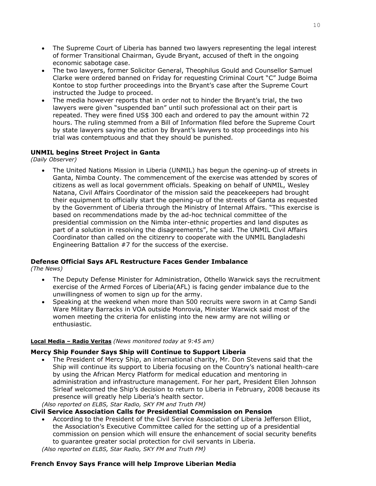- The Supreme Court of Liberia has banned two lawyers representing the legal interest of former Transitional Chairman, Gyude Bryant, accused of theft in the ongoing economic sabotage case.
- The two lawyers, former Solicitor General, Theophilus Gould and Counsellor Samuel Clarke were ordered banned on Friday for requesting Criminal Court "C" Judge Boima Kontoe to stop further proceedings into the Bryant's case after the Supreme Court instructed the Judge to proceed.
- The media however reports that in order not to hinder the Bryant's trial, the two lawyers were given "suspended ban" until such professional act on their part is repeated. They were fined US\$ 300 each and ordered to pay the amount within 72 hours. The ruling stemmed from a Bill of Information filed before the Supreme Court by state lawyers saying the action by Bryant's lawyers to stop proceedings into his trial was contemptuous and that they should be punished.

#### **UNMIL begins Street Project in Ganta**

*(Daily Observer)* 

• The United Nations Mission in Liberia (UNMIL) has begun the opening-up of streets in Ganta, Nimba County. The commencement of the exercise was attended by scores of citizens as well as local government officials. Speaking on behalf of UNMIL, Wesley Natana, Civil Affairs Coordinator of the mission said the peacekeepers had brought their equipment to officially start the opening-up of the streets of Ganta as requested by the Government of Liberia through the Ministry of Internal Affairs. "This exercise is based on recommendations made by the ad-hoc technical committee of the presidential commission on the Nimba inter-ethnic properties and land disputes as part of a solution in resolving the disagreements", he said. The UNMIL Civil Affairs Coordinator than called on the citizenry to cooperate with the UNMIL Bangladeshi Engineering Battalion #7 for the success of the exercise.

#### **Defense Official Says AFL Restructure Faces Gender Imbalance**

*(The News)* 

- The Deputy Defense Minister for Administration, Othello Warwick says the recruitment exercise of the Armed Forces of Liberia(AFL) is facing gender imbalance due to the unwillingness of women to sign up for the army.
- Speaking at the weekend when more than 500 recruits were sworn in at Camp Sandi Ware Military Barracks in VOA outside Monrovia, Minister Warwick said most of the women meeting the criteria for enlisting into the new army are not willing or enthusiastic.

#### **Local Media – Radio Veritas** *(News monitored today at 9:45 am)*

#### **Mercy Ship Founder Says Ship will Continue to Support Liberia**

• The President of Mercy Ship, an international charity, Mr. Don Stevens said that the Ship will continue its support to Liberia focusing on the Country's national health-care by using the African Mercy Platform for medical education and mentoring in administration and infrastructure management. For her part, President Ellen Johnson Sirleaf welcomed the Ship's decision to return to Liberia in February, 2008 because its presence will greatly help Liberia's health sector.

*(Also reported on ELBS, Star Radio, SKY FM and Truth FM)*

#### **Civil Service Association Calls for Presidential Commission on Pension**

• According to the President of the Civil Service Association of Liberia Jefferson Elliot, the Association's Executive Committee called for the setting up of a presidential commission on pension which will ensure the enhancement of social security benefits to guarantee greater social protection for civil servants in Liberia.

*(Also reported on ELBS, Star Radio, SKY FM and Truth FM)*

#### **French Envoy Says France will help Improve Liberian Media**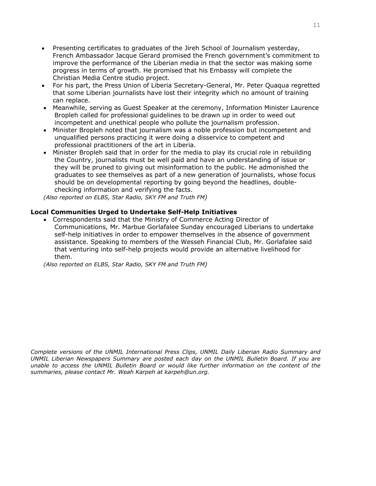- Presenting certificates to graduates of the Jireh School of Journalism yesterday, French Ambassador Jacque Gerard promised the French government's commitment to improve the performance of the Liberian media in that the sector was making some progress in terms of growth. He promised that his Embassy will complete the Christian Media Centre studio project.
- For his part, the Press Union of Liberia Secretary-General, Mr. Peter Quaqua regretted that some Liberian journalists have lost their integrity which no amount of training can replace.
- Meanwhile, serving as Guest Speaker at the ceremony, Information Minister Laurence Bropleh called for professional guidelines to be drawn up in order to weed out incompetent and unethical people who pollute the journalism profession.
- Minister Bropleh noted that journalism was a noble profession but incompetent and unqualified persons practicing it were doing a disservice to competent and professional practitioners of the art in Liberia.
- Minister Bropleh said that in order for the media to play its crucial role in rebuilding the Country, journalists must be well paid and have an understanding of issue or they will be pruned to giving out misinformation to the public. He admonished the graduates to see themselves as part of a new generation of journalists, whose focus should be on developmental reporting by going beyond the headlines, doublechecking information and verifying the facts.

*(Also reported on ELBS, Star Radio, SKY FM and Truth FM)*

#### **Local Communities Urged to Undertake Self-Help Initiatives**

• Correspondents said that the Ministry of Commerce Acting Director of Communications, Mr. Marbue Gorlafalee Sunday encouraged Liberians to undertake self-help initiatives in order to empower themselves in the absence of government assistance. Speaking to members of the Wesseh Financial Club, Mr. Gorlafalee said that venturing into self-help projects would provide an alternative livelihood for them.

*(Also reported on ELBS, Star Radio, SKY FM and Truth FM)*

*Complete versions of the UNMIL International Press Clips, UNMIL Daily Liberian Radio Summary and UNMIL Liberian Newspapers Summary are posted each day on the UNMIL Bulletin Board. If you are unable to access the UNMIL Bulletin Board or would like further information on the content of the summaries, please contact Mr. Weah Karpeh at karpeh@un.org.*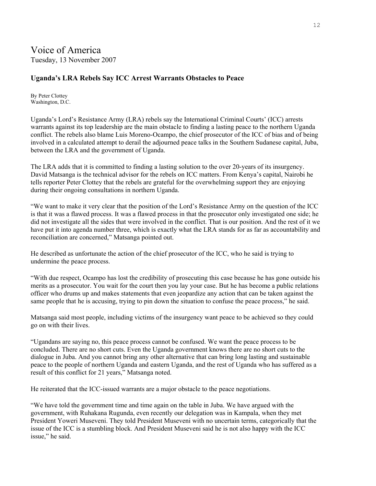## **Uganda's LRA Rebels Say ICC Arrest Warrants Obstacles to Peace**

By Peter Clottey Washington, D.C.

Uganda's Lord's Resistance Army (LRA) rebels say the International Criminal Courts' (ICC) arrests warrants against its top leadership are the main obstacle to finding a lasting peace to the northern Uganda conflict. The rebels also blame Luis Moreno-Ocampo, the chief prosecutor of the ICC of bias and of being involved in a calculated attempt to derail the adjourned peace talks in the Southern Sudanese capital, Juba, between the LRA and the government of Uganda.

The LRA adds that it is committed to finding a lasting solution to the over 20-years of its insurgency. David Matsanga is the technical advisor for the rebels on ICC matters. From Kenya's capital, Nairobi he tells reporter Peter Clottey that the rebels are grateful for the overwhelming support they are enjoying during their ongoing consultations in northern Uganda.

"We want to make it very clear that the position of the Lord's Resistance Army on the question of the ICC is that it was a flawed process. It was a flawed process in that the prosecutor only investigated one side; he did not investigate all the sides that were involved in the conflict. That is our position. And the rest of it we have put it into agenda number three, which is exactly what the LRA stands for as far as accountability and reconciliation are concerned," Matsanga pointed out.

He described as unfortunate the action of the chief prosecutor of the ICC, who he said is trying to undermine the peace process.

"With due respect, Ocampo has lost the credibility of prosecuting this case because he has gone outside his merits as a prosecutor. You wait for the court then you lay your case. But he has become a public relations officer who drums up and makes statements that even jeopardize any action that can be taken against the same people that he is accusing, trying to pin down the situation to confuse the peace process," he said.

Matsanga said most people, including victims of the insurgency want peace to be achieved so they could go on with their lives.

"Ugandans are saying no, this peace process cannot be confused. We want the peace process to be concluded. There are no short cuts. Even the Uganda government knows there are no short cuts to the dialogue in Juba. And you cannot bring any other alternative that can bring long lasting and sustainable peace to the people of northern Uganda and eastern Uganda, and the rest of Uganda who has suffered as a result of this conflict for 21 years," Matsanga noted.

He reiterated that the ICC-issued warrants are a major obstacle to the peace negotiations.

"We have told the government time and time again on the table in Juba. We have argued with the government, with Ruhakana Rugunda, even recently our delegation was in Kampala, when they met President Yoweri Museveni. They told President Museveni with no uncertain terms, categorically that the issue of the ICC is a stumbling block. And President Museveni said he is not also happy with the ICC issue," he said.